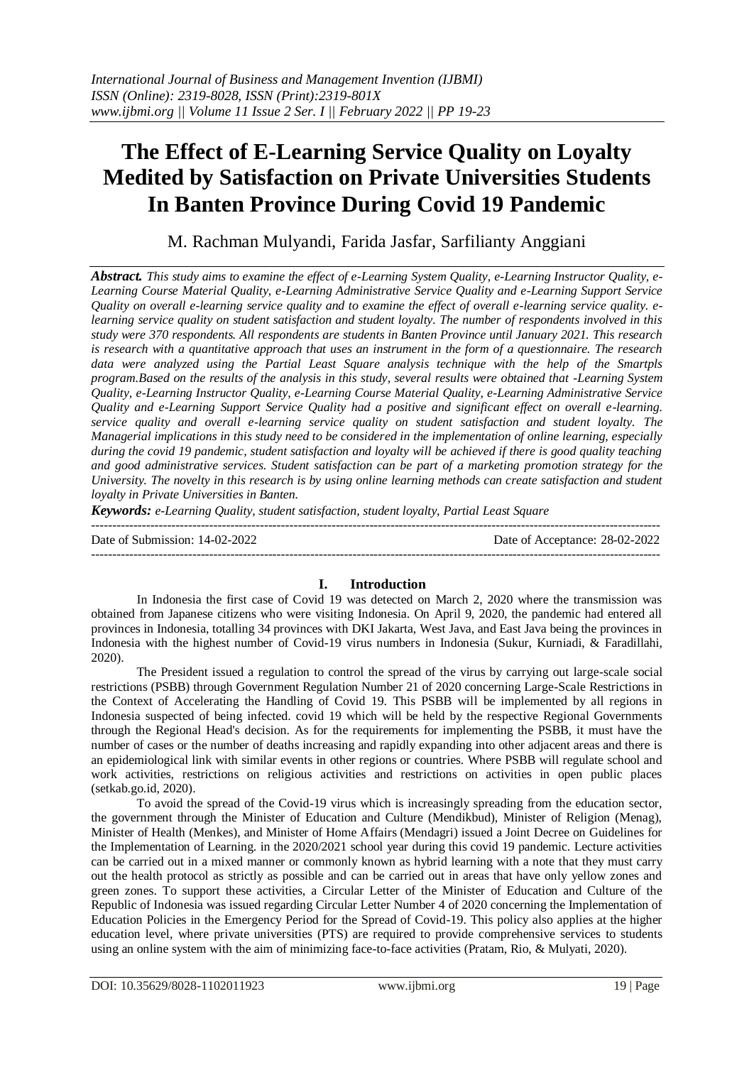# **The Effect of E-Learning Service Quality on Loyalty Medited by Satisfaction on Private Universities Students In Banten Province During Covid 19 Pandemic**

M. Rachman Mulyandi, Farida Jasfar, Sarfilianty Anggiani

*Abstract. This study aims to examine the effect of e-Learning System Quality, e-Learning Instructor Quality, e-Learning Course Material Quality, e-Learning Administrative Service Quality and e-Learning Support Service Quality on overall e-learning service quality and to examine the effect of overall e-learning service quality. elearning service quality on student satisfaction and student loyalty. The number of respondents involved in this study were 370 respondents. All respondents are students in Banten Province until January 2021. This research is research with a quantitative approach that uses an instrument in the form of a questionnaire. The research data were analyzed using the Partial Least Square analysis technique with the help of the Smartpls program.Based on the results of the analysis in this study, several results were obtained that -Learning System Quality, e-Learning Instructor Quality, e-Learning Course Material Quality, e-Learning Administrative Service Quality and e-Learning Support Service Quality had a positive and significant effect on overall e-learning. service quality and overall e-learning service quality on student satisfaction and student loyalty. The Managerial implications in this study need to be considered in the implementation of online learning, especially during the covid 19 pandemic, student satisfaction and loyalty will be achieved if there is good quality teaching and good administrative services. Student satisfaction can be part of a marketing promotion strategy for the University. The novelty in this research is by using online learning methods can create satisfaction and student loyalty in Private Universities in Banten.*

*Keywords: e-Learning Quality, student satisfaction, student loyalty, Partial Least Square*

Date of Submission: 14-02-2022 Date of Acceptance: 28-02-2022 ---------------------------------------------------------------------------------------------------------------------------------------

# **I. Introduction**

In Indonesia the first case of Covid 19 was detected on March 2, 2020 where the transmission was obtained from Japanese citizens who were visiting Indonesia. On April 9, 2020, the pandemic had entered all provinces in Indonesia, totalling 34 provinces with DKI Jakarta, West Java, and East Java being the provinces in Indonesia with the highest number of Covid-19 virus numbers in Indonesia (Sukur, Kurniadi, & Faradillahi, 2020).

The President issued a regulation to control the spread of the virus by carrying out large-scale social restrictions (PSBB) through Government Regulation Number 21 of 2020 concerning Large-Scale Restrictions in the Context of Accelerating the Handling of Covid 19. This PSBB will be implemented by all regions in Indonesia suspected of being infected. covid 19 which will be held by the respective Regional Governments through the Regional Head's decision. As for the requirements for implementing the PSBB, it must have the number of cases or the number of deaths increasing and rapidly expanding into other adjacent areas and there is an epidemiological link with similar events in other regions or countries. Where PSBB will regulate school and work activities, restrictions on religious activities and restrictions on activities in open public places (setkab.go.id, 2020).

To avoid the spread of the Covid-19 virus which is increasingly spreading from the education sector, the government through the Minister of Education and Culture (Mendikbud), Minister of Religion (Menag), Minister of Health (Menkes), and Minister of Home Affairs (Mendagri) issued a Joint Decree on Guidelines for the Implementation of Learning. in the 2020/2021 school year during this covid 19 pandemic. Lecture activities can be carried out in a mixed manner or commonly known as hybrid learning with a note that they must carry out the health protocol as strictly as possible and can be carried out in areas that have only yellow zones and green zones. To support these activities, a Circular Letter of the Minister of Education and Culture of the Republic of Indonesia was issued regarding Circular Letter Number 4 of 2020 concerning the Implementation of Education Policies in the Emergency Period for the Spread of Covid-19. This policy also applies at the higher education level, where private universities (PTS) are required to provide comprehensive services to students using an online system with the aim of minimizing face-to-face activities (Pratam, Rio, & Mulyati, 2020).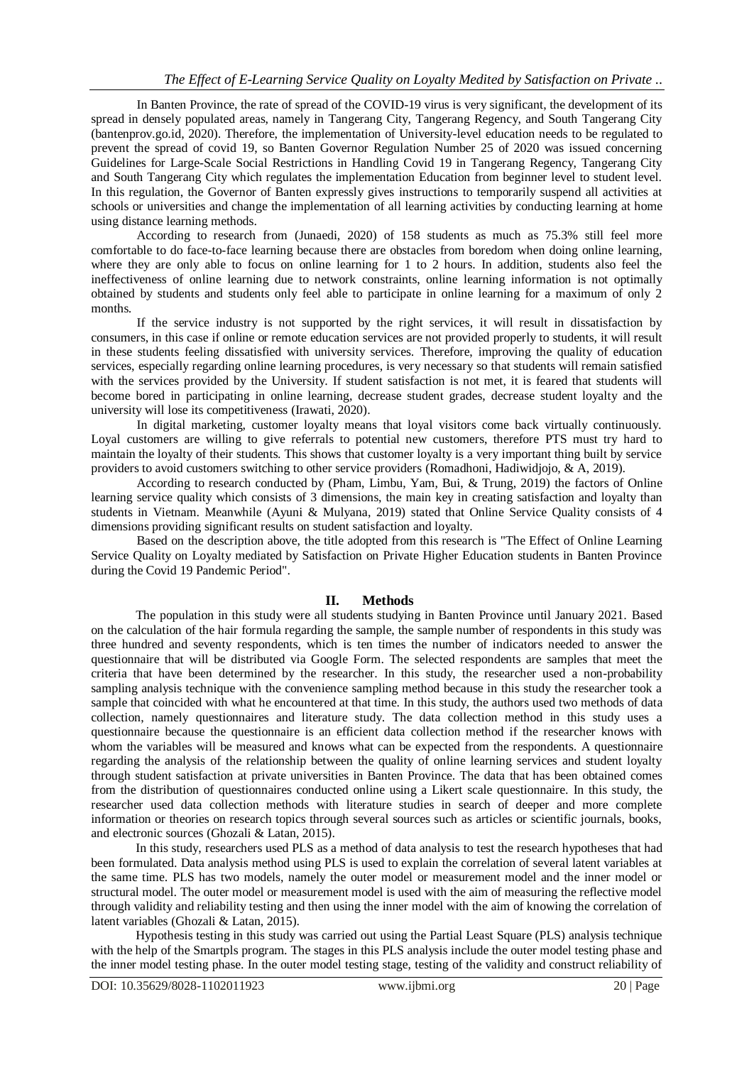In Banten Province, the rate of spread of the COVID-19 virus is very significant, the development of its spread in densely populated areas, namely in Tangerang City, Tangerang Regency, and South Tangerang City (bantenprov.go.id, 2020). Therefore, the implementation of University-level education needs to be regulated to prevent the spread of covid 19, so Banten Governor Regulation Number 25 of 2020 was issued concerning Guidelines for Large-Scale Social Restrictions in Handling Covid 19 in Tangerang Regency, Tangerang City and South Tangerang City which regulates the implementation Education from beginner level to student level. In this regulation, the Governor of Banten expressly gives instructions to temporarily suspend all activities at schools or universities and change the implementation of all learning activities by conducting learning at home using distance learning methods.

According to research from (Junaedi, 2020) of 158 students as much as 75.3% still feel more comfortable to do face-to-face learning because there are obstacles from boredom when doing online learning, where they are only able to focus on online learning for 1 to 2 hours. In addition, students also feel the ineffectiveness of online learning due to network constraints, online learning information is not optimally obtained by students and students only feel able to participate in online learning for a maximum of only 2 months.

If the service industry is not supported by the right services, it will result in dissatisfaction by consumers, in this case if online or remote education services are not provided properly to students, it will result in these students feeling dissatisfied with university services. Therefore, improving the quality of education services, especially regarding online learning procedures, is very necessary so that students will remain satisfied with the services provided by the University. If student satisfaction is not met, it is feared that students will become bored in participating in online learning, decrease student grades, decrease student loyalty and the university will lose its competitiveness (Irawati, 2020).

In digital marketing, customer loyalty means that loyal visitors come back virtually continuously. Loyal customers are willing to give referrals to potential new customers, therefore PTS must try hard to maintain the loyalty of their students. This shows that customer loyalty is a very important thing built by service providers to avoid customers switching to other service providers (Romadhoni, Hadiwidjojo, & A, 2019).

According to research conducted by (Pham, Limbu, Yam, Bui, & Trung, 2019) the factors of Online learning service quality which consists of 3 dimensions, the main key in creating satisfaction and loyalty than students in Vietnam. Meanwhile (Ayuni & Mulyana, 2019) stated that Online Service Quality consists of 4 dimensions providing significant results on student satisfaction and loyalty.

Based on the description above, the title adopted from this research is "The Effect of Online Learning Service Quality on Loyalty mediated by Satisfaction on Private Higher Education students in Banten Province during the Covid 19 Pandemic Period".

# **II. Methods**

The population in this study were all students studying in Banten Province until January 2021. Based on the calculation of the hair formula regarding the sample, the sample number of respondents in this study was three hundred and seventy respondents, which is ten times the number of indicators needed to answer the questionnaire that will be distributed via Google Form. The selected respondents are samples that meet the criteria that have been determined by the researcher. In this study, the researcher used a non-probability sampling analysis technique with the convenience sampling method because in this study the researcher took a sample that coincided with what he encountered at that time. In this study, the authors used two methods of data collection, namely questionnaires and literature study. The data collection method in this study uses a questionnaire because the questionnaire is an efficient data collection method if the researcher knows with whom the variables will be measured and knows what can be expected from the respondents. A questionnaire regarding the analysis of the relationship between the quality of online learning services and student loyalty through student satisfaction at private universities in Banten Province. The data that has been obtained comes from the distribution of questionnaires conducted online using a Likert scale questionnaire. In this study, the researcher used data collection methods with literature studies in search of deeper and more complete information or theories on research topics through several sources such as articles or scientific journals, books, and electronic sources (Ghozali & Latan, 2015).

In this study, researchers used PLS as a method of data analysis to test the research hypotheses that had been formulated. Data analysis method using PLS is used to explain the correlation of several latent variables at the same time. PLS has two models, namely the outer model or measurement model and the inner model or structural model. The outer model or measurement model is used with the aim of measuring the reflective model through validity and reliability testing and then using the inner model with the aim of knowing the correlation of latent variables (Ghozali & Latan, 2015).

Hypothesis testing in this study was carried out using the Partial Least Square (PLS) analysis technique with the help of the Smartpls program. The stages in this PLS analysis include the outer model testing phase and the inner model testing phase. In the outer model testing stage, testing of the validity and construct reliability of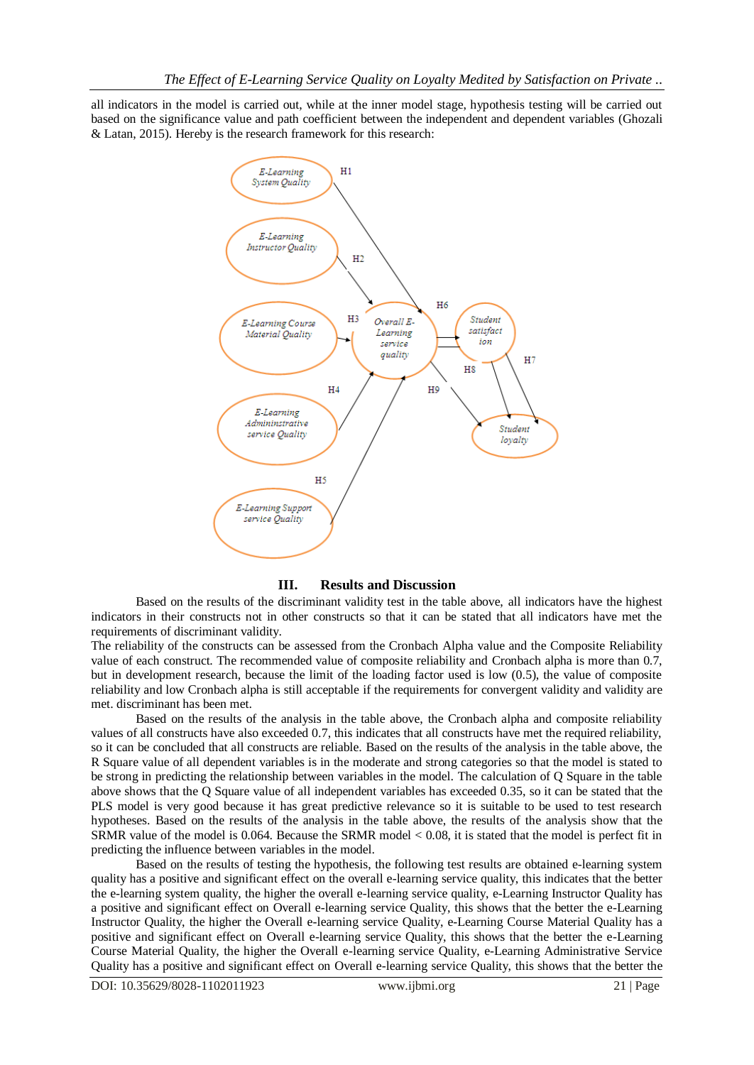all indicators in the model is carried out, while at the inner model stage, hypothesis testing will be carried out based on the significance value and path coefficient between the independent and dependent variables (Ghozali & Latan, 2015). Hereby is the research framework for this research:



### **III. Results and Discussion**

Based on the results of the discriminant validity test in the table above, all indicators have the highest indicators in their constructs not in other constructs so that it can be stated that all indicators have met the requirements of discriminant validity.

The reliability of the constructs can be assessed from the Cronbach Alpha value and the Composite Reliability value of each construct. The recommended value of composite reliability and Cronbach alpha is more than 0.7, but in development research, because the limit of the loading factor used is low (0.5), the value of composite reliability and low Cronbach alpha is still acceptable if the requirements for convergent validity and validity are met. discriminant has been met.

Based on the results of the analysis in the table above, the Cronbach alpha and composite reliability values of all constructs have also exceeded 0.7, this indicates that all constructs have met the required reliability, so it can be concluded that all constructs are reliable. Based on the results of the analysis in the table above, the R Square value of all dependent variables is in the moderate and strong categories so that the model is stated to be strong in predicting the relationship between variables in the model. The calculation of Q Square in the table above shows that the Q Square value of all independent variables has exceeded 0.35, so it can be stated that the PLS model is very good because it has great predictive relevance so it is suitable to be used to test research hypotheses. Based on the results of the analysis in the table above, the results of the analysis show that the SRMR value of the model is 0.064. Because the SRMR model < 0.08, it is stated that the model is perfect fit in predicting the influence between variables in the model.

Based on the results of testing the hypothesis, the following test results are obtained e-learning system quality has a positive and significant effect on the overall e-learning service quality, this indicates that the better the e-learning system quality, the higher the overall e-learning service quality, e-Learning Instructor Quality has a positive and significant effect on Overall e-learning service Quality, this shows that the better the e-Learning Instructor Quality, the higher the Overall e-learning service Quality, e-Learning Course Material Quality has a positive and significant effect on Overall e-learning service Quality, this shows that the better the e-Learning Course Material Quality, the higher the Overall e-learning service Quality, e-Learning Administrative Service Quality has a positive and significant effect on Overall e-learning service Quality, this shows that the better the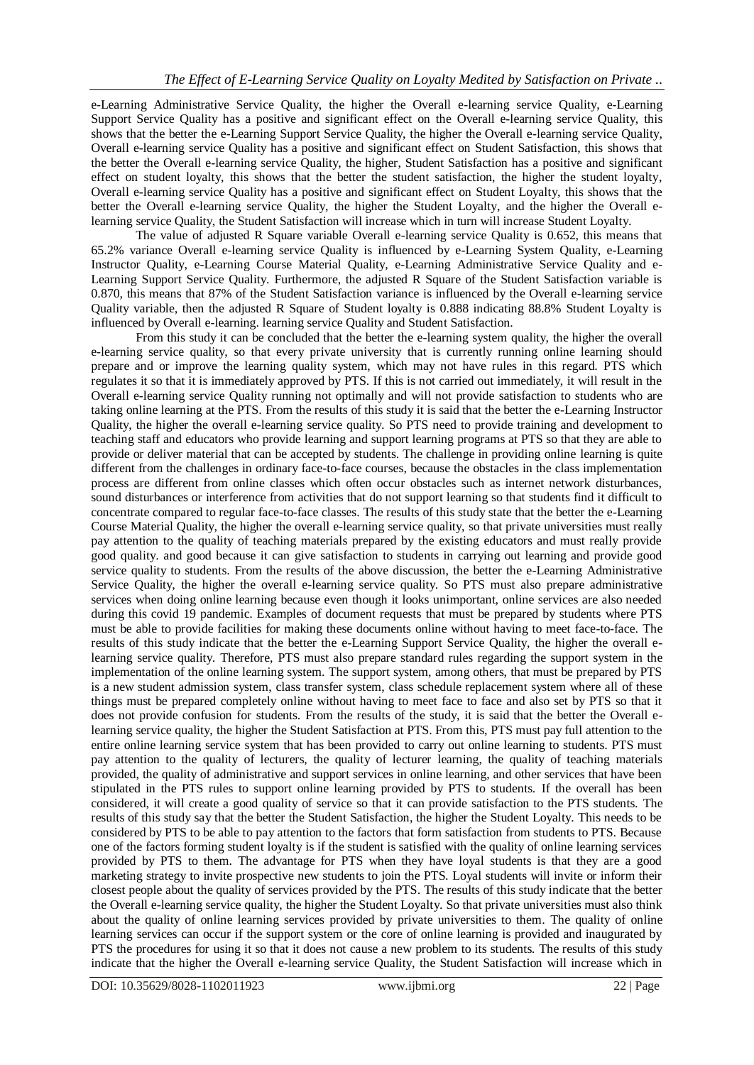e-Learning Administrative Service Quality, the higher the Overall e-learning service Quality, e-Learning Support Service Quality has a positive and significant effect on the Overall e-learning service Quality, this shows that the better the e-Learning Support Service Quality, the higher the Overall e-learning service Quality, Overall e-learning service Quality has a positive and significant effect on Student Satisfaction, this shows that the better the Overall e-learning service Quality, the higher, Student Satisfaction has a positive and significant effect on student loyalty, this shows that the better the student satisfaction, the higher the student loyalty, Overall e-learning service Quality has a positive and significant effect on Student Loyalty, this shows that the better the Overall e-learning service Quality, the higher the Student Loyalty, and the higher the Overall elearning service Quality, the Student Satisfaction will increase which in turn will increase Student Loyalty.

The value of adjusted R Square variable Overall e-learning service Quality is 0.652, this means that 65.2% variance Overall e-learning service Quality is influenced by e-Learning System Quality, e-Learning Instructor Quality, e-Learning Course Material Quality, e-Learning Administrative Service Quality and e-Learning Support Service Quality. Furthermore, the adjusted R Square of the Student Satisfaction variable is 0.870, this means that 87% of the Student Satisfaction variance is influenced by the Overall e-learning service Quality variable, then the adjusted R Square of Student loyalty is 0.888 indicating 88.8% Student Loyalty is influenced by Overall e-learning. learning service Quality and Student Satisfaction.

From this study it can be concluded that the better the e-learning system quality, the higher the overall e-learning service quality, so that every private university that is currently running online learning should prepare and or improve the learning quality system, which may not have rules in this regard. PTS which regulates it so that it is immediately approved by PTS. If this is not carried out immediately, it will result in the Overall e-learning service Quality running not optimally and will not provide satisfaction to students who are taking online learning at the PTS. From the results of this study it is said that the better the e-Learning Instructor Quality, the higher the overall e-learning service quality. So PTS need to provide training and development to teaching staff and educators who provide learning and support learning programs at PTS so that they are able to provide or deliver material that can be accepted by students. The challenge in providing online learning is quite different from the challenges in ordinary face-to-face courses, because the obstacles in the class implementation process are different from online classes which often occur obstacles such as internet network disturbances, sound disturbances or interference from activities that do not support learning so that students find it difficult to concentrate compared to regular face-to-face classes. The results of this study state that the better the e-Learning Course Material Quality, the higher the overall e-learning service quality, so that private universities must really pay attention to the quality of teaching materials prepared by the existing educators and must really provide good quality. and good because it can give satisfaction to students in carrying out learning and provide good service quality to students. From the results of the above discussion, the better the e-Learning Administrative Service Quality, the higher the overall e-learning service quality. So PTS must also prepare administrative services when doing online learning because even though it looks unimportant, online services are also needed during this covid 19 pandemic. Examples of document requests that must be prepared by students where PTS must be able to provide facilities for making these documents online without having to meet face-to-face. The results of this study indicate that the better the e-Learning Support Service Quality, the higher the overall elearning service quality. Therefore, PTS must also prepare standard rules regarding the support system in the implementation of the online learning system. The support system, among others, that must be prepared by PTS is a new student admission system, class transfer system, class schedule replacement system where all of these things must be prepared completely online without having to meet face to face and also set by PTS so that it does not provide confusion for students. From the results of the study, it is said that the better the Overall elearning service quality, the higher the Student Satisfaction at PTS. From this, PTS must pay full attention to the entire online learning service system that has been provided to carry out online learning to students. PTS must pay attention to the quality of lecturers, the quality of lecturer learning, the quality of teaching materials provided, the quality of administrative and support services in online learning, and other services that have been stipulated in the PTS rules to support online learning provided by PTS to students. If the overall has been considered, it will create a good quality of service so that it can provide satisfaction to the PTS students. The results of this study say that the better the Student Satisfaction, the higher the Student Loyalty. This needs to be considered by PTS to be able to pay attention to the factors that form satisfaction from students to PTS. Because one of the factors forming student loyalty is if the student is satisfied with the quality of online learning services provided by PTS to them. The advantage for PTS when they have loyal students is that they are a good marketing strategy to invite prospective new students to join the PTS. Loyal students will invite or inform their closest people about the quality of services provided by the PTS. The results of this study indicate that the better the Overall e-learning service quality, the higher the Student Loyalty. So that private universities must also think about the quality of online learning services provided by private universities to them. The quality of online learning services can occur if the support system or the core of online learning is provided and inaugurated by PTS the procedures for using it so that it does not cause a new problem to its students. The results of this study indicate that the higher the Overall e-learning service Quality, the Student Satisfaction will increase which in